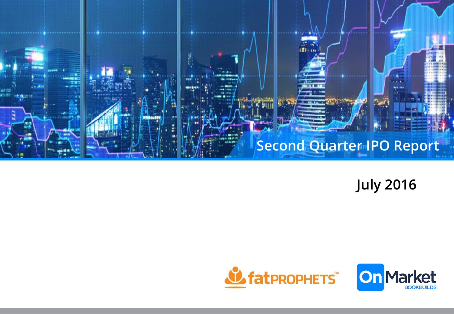

**July 2016**

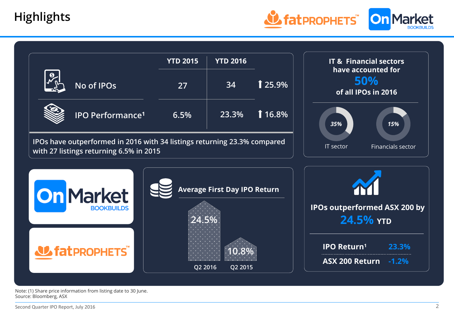



Note: (1) Share price information from listing date to 30 June. Source: Bloomberg, ASX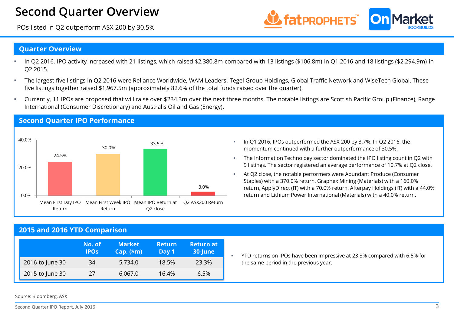## **Second Quarter Overview**

IPOs listed in Q2 outperform ASX 200 by 30.5%



#### **Quarter Overview**

- In Q2 2016, IPO activity increased with 21 listings, which raised \$2,380.8m compared with 13 listings (\$106.8m) in Q1 2016 and 18 listings (\$2,294.9m) in Q2 2015.
- The largest five listings in Q2 2016 were Reliance Worldwide, WAM Leaders, Tegel Group Holdings, Global Traffic Network and WiseTech Global. These five listings together raised \$1,967.5m (approximately 82.6% of the total funds raised over the quarter).
- Currently, 11 IPOs are proposed that will raise over \$234.3m over the next three months. The notable listings are Scottish Pacific Group (Finance), Range International (Consumer Discretionary) and Australis Oil and Gas (Energy).



#### **Second Quarter IPO Performance**

- In Q1 2016, IPOs outperformed the ASX 200 by 3.7%. In Q2 2016, the momentum continued with a further outperformance of 30.5%.
- **The Information Technology sector dominated the IPO listing count in Q2 with** 9 listings. The sector registered an average performance of 10.7% at Q2 close.
- At Q2 close, the notable performers were Abundant Produce (Consumer Staples) with a 370.0% return, Graphex Mining (Materials) with a 160.0% return, ApplyDirect (IT) with a 70.0% return, Afterpay Holdings (IT) with a 44.0% return and Lithium Power International (Materials) with a 40.0% return.

#### **2015 and 2016 YTD Comparison**

|                 | No. of<br><b>IPOS</b> | <b>Market</b><br>$Cap.$ (\$m) | <b>Return</b><br>Day 1 | <b>Return at</b><br>30-June |
|-----------------|-----------------------|-------------------------------|------------------------|-----------------------------|
| 2016 to June 30 | 34                    | 5.734.0                       | 18.5%                  | 23.3%                       |
| 2015 to June 30 | 27                    | 6,067.0                       | 16.4%                  | 6.5%                        |

 YTD returns on IPOs have been impressive at 23.3% compared with 6.5% for the same period in the previous year.

Source: Bloomberg, ASX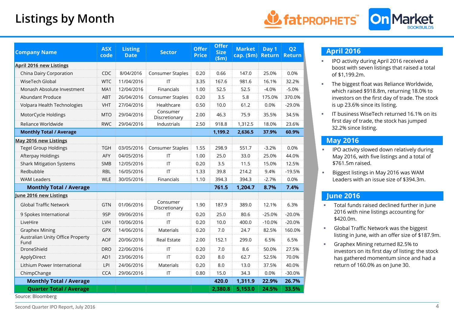# **Listings by Month**



| <b>Company Name</b>                                 | <b>ASX</b><br>code | <b>Listing</b><br><b>Date</b> | <b>Sector</b>             | <b>Offer</b><br><b>Price</b> | <b>Offer</b><br><b>Size</b><br>\$m\$ | <b>Market</b><br>cap. $(\$m)$ | Day 1<br><b>Return</b> | Q <sub>2</sub><br><b>Return</b> |
|-----------------------------------------------------|--------------------|-------------------------------|---------------------------|------------------------------|--------------------------------------|-------------------------------|------------------------|---------------------------------|
| <b>April 2016 new Listings</b>                      |                    |                               |                           |                              |                                      |                               |                        |                                 |
| China Dairy Corporation                             | <b>CDC</b>         | 8/04/2016                     | Consumer Staples          | 0.20                         | 0.66                                 | 147.0                         | 25.0%                  | 0.0%                            |
| WiseTech Global                                     | <b>WTC</b>         | 11/04/2016                    | IT                        | 3.35                         | 167.6                                | 981.6                         | 16.1%                  | 32.2%                           |
| Monash Absolute Investment                          | MA1                | 12/04/2016                    | Financials                | 1.00                         | 52.5                                 | 52.5                          | $-4.0%$                | $-5.0%$                         |
| Abundant Produce                                    | <b>ABT</b>         | 26/04/2016                    | Consumer Staples          | 0.20                         | 3.5                                  | 5.8                           | 175.0%                 | 370.0%                          |
| Volpara Health Technologies                         | <b>VHT</b>         | 27/04/2016                    | Healthcare                | 0.50                         | 10.0                                 | 61.2                          | 0.0%                   | $-29.0%$                        |
| MotorCycle Holdings                                 | <b>MTO</b>         | 29/04/2016                    | Consumer<br>Discretionary | 2.00                         | 46.3                                 | 75.9                          | 35.5%                  | 34.5%                           |
| Reliance Worldwide                                  | <b>RWC</b>         | 29/04/2016                    | Industrials               | 2.50                         | 918.8                                | 1,312.5                       | 18.0%                  | 23.6%                           |
| <b>Monthly Total / Average</b>                      |                    |                               |                           |                              | 1,199.2                              | 2,636.5                       | 37.9%                  | 60.9%                           |
| May 2016 new Listings                               |                    |                               |                           |                              |                                      |                               |                        |                                 |
| <b>Tegel Group Holdings</b>                         | <b>TGH</b>         | 03/05/2016                    | Consumer Staples          | 1.55                         | 298.9                                | 551.7                         | $-3.2%$                | 0.0%                            |
| Afterpay Holdings                                   | <b>AFY</b>         | 04/05/2016                    | IT                        | 1.00                         | 25.0                                 | 33.0                          | 25.0%                  | 44.0%                           |
| <b>Shark Mitigation Systems</b>                     | SMB                | 12/05/2016                    | $\mathsf{I}\mathsf{T}$    | 0.20                         | 3.5                                  | 11.5                          | 15.0%                  | 12.5%                           |
| Redbubble                                           | <b>RBL</b>         | 16/05/2016                    | IT                        | 1.33                         | 39.8                                 | 214.2                         | 9.4%                   | $-19.5%$                        |
| <b>WAM Leaders</b>                                  | <b>WLE</b>         | 30/05/2016                    | Financials                | 1.10                         | 394.3                                | 394.3                         | $-2.7%$                | 0.0%                            |
| <b>Monthly Total / Average</b>                      |                    |                               |                           |                              | 761.5                                | 1,204.7                       | 8.7%                   | 7.4%                            |
| June 2016 new Listings                              |                    |                               |                           |                              |                                      |                               |                        |                                 |
| <b>Global Traffic Network</b>                       | <b>GTN</b>         | 01/06/2016                    | Consumer<br>Discretionary | 1.90                         | 187.9                                | 389.0                         | 12.1%                  | 6.3%                            |
| 9 Spokes International                              | 9SP                | 09/06/2016                    | IT                        | 0.20                         | 25.0                                 | 80.6                          | $-25.0%$               | $-20.0%$                        |
| LiveHire                                            | LVH                | 10/06/2016                    | IT                        | 0.20                         | 10.0                                 | 400.0                         | $-10.0%$               | $-20.0%$                        |
| <b>Graphex Mining</b>                               | <b>GPX</b>         | 14/06/2016                    | <b>Materials</b>          | 0.20                         | 7.0                                  | 24.7                          | 82.5%                  | 160.0%                          |
| Australian Unity Office Property<br>Fund            | <b>AOF</b>         | 20/06/2016                    | <b>Real Estate</b>        | 2.00                         | 152.1                                | 299.0                         | 6.5%                   | 6.5%                            |
| DroneShield                                         | <b>DRO</b>         | 22/06/2016                    | $\mathsf{I}\mathsf{T}$    | 0.20                         | 7.0                                  | 8.6                           | 50.0%                  | 27.5%                           |
| ApplyDirect                                         | AD1                | 23/06/2016                    | IT                        | 0.20                         | 8.0                                  | 62.7                          | 52.5%                  | 70.0%                           |
| Lithium Power International                         | LPI                | 24/06/2016                    | Materials                 | 0.20                         | 8.0                                  | 13.0                          | 37.5%                  | 40.0%                           |
| ChimpChange                                         | <b>CCA</b>         | 29/06/2016                    | IT                        | 0.80                         | 15.0                                 | 34.3                          | 0.0%                   | $-30.0%$                        |
| <b>Monthly Total / Average</b>                      |                    |                               |                           |                              | 420.0                                | 1,311.9                       | 22.9%                  | 26.7%                           |
| <b>Quarter Total / Average</b><br>Source: Bloomberg |                    |                               |                           |                              | 2,380.8                              | 5,153.0                       | 24.5%                  | 33.5%                           |

#### **April 2016**

- **IFO activity during April 2016 received a** boost with seven listings that raised a total of \$1,199.2m.
- **The biggest float was Reliance Worldwide,** which raised \$918.8m, returning 18.0% to investors on the first day of trade. The stock is up 23.6% since its listing.
- IT business WiseTech returned 16.1% on its first day of trade, the stock has jumped 32.2% since listing.

#### **May 2016**

- **IFO activity slowed down relatively during** May 2016, with five listings and a total of \$761.5m raised.
- **Biggest listings in May 2016 was WAM** Leaders with an issue size of \$394.3m.

### **June 2016**

- Total funds raised declined further in June 2016 with nine listings accounting for \$420.0m.
- **Global Traffic Network was the biggest** listing in June, with an offer size of \$187.9m.
- **Graphex Mining returned 82.5% to** investors on its first day of listing; the stock has gathered momentum since and had a return of 160.0% as on June 30.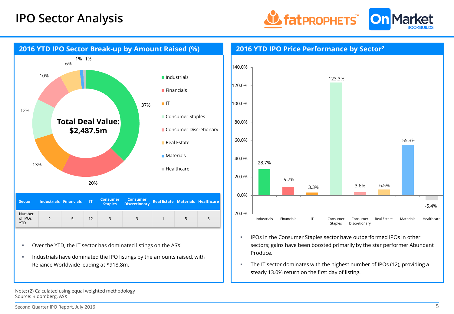



- Over the YTD, the IT sector has dominated listings on the ASX.
- Industrials have dominated the IPO listings by the amounts raised, with Reliance Worldwide leading at \$918.8m.
- **IPOs in the Consumer Staples sector have outperformed IPOs in other** sectors; gains have been boosted primarily by the star performer Abundant Produce.
- The IT sector dominates with the highest number of IPOs (12), providing a steady 13.0% return on the first day of listing.

Note: (2) Calculated using equal weighted methodology Source: Bloomberg, ASX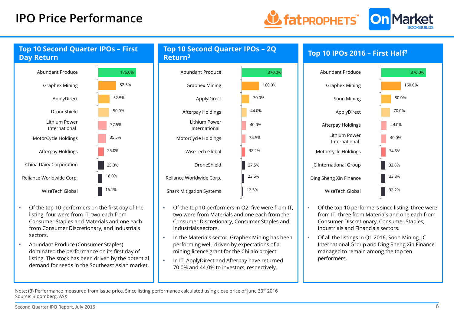## **IPO Price Performance**



### **Top 10 Second Quarter IPOs – First Day Return**



- Of the top 10 performers on the first day of the listing, four were from IT, two each from Consumer Staples and Materials and one each from Consumer Discretionary, and Industrials sectors.
- Abundant Produce (Consumer Staples) dominated the performance on its first day of listing. The stock has been driven by the potential demand for seeds in the Southeast Asian market.

**Top 10 Second Quarter IPOs – 2Q Return<sup>3</sup>**



- Of the top 10 performers in Q2, five were from IT, two were from Materials and one each from the Consumer Discretionary, Consumer Staples and Industrials sectors.
- In the Materials sector, Graphex Mining has been performing well, driven by expectations of a mining-licence grant for the Chilalo project.
- In IT, ApplyDirect and Afterpay have returned 70.0% and 44.0% to investors, respectively.





- Of the top 10 performers since listing, three were from IT, three from Materials and one each from Consumer Discretionary, Consumer Staples, Industrials and Financials sectors.
- Of all the listings in Q1 2016, Soon Mining, JC International Group and Ding Sheng Xin Finance managed to remain among the top ten performers.

Note: (3) Performance measured from issue price, Since listing performance calculated using close price of June 30<sup>th</sup> 2016 Source: Bloomberg, ASX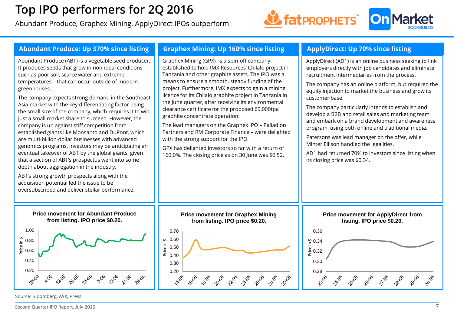# **Top IPO performers for 2Q 2016**

Abundant Produce, Graphex Mining, ApplyDirect IPOs outperform





Source: Bloomberg, ASX, Press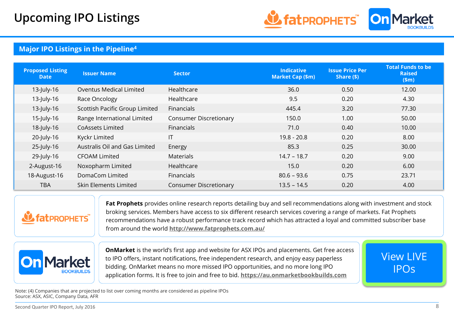

### **Major IPO Listings in the Pipeline<sup>4</sup>**

| <b>Proposed Listing</b><br>Date | <b>Issuer Name</b>             | <b>Sector</b>                 | <b>Indicative</b><br><b>Market Cap (\$m)</b> | <b>Issue Price Per</b><br>Share $(\$)$ | <b>Total Funds to be</b><br><b>Raised</b><br>\$m\$ |
|---------------------------------|--------------------------------|-------------------------------|----------------------------------------------|----------------------------------------|----------------------------------------------------|
| 13-July-16                      | Oventus Medical Limited        | Healthcare                    | 36.0                                         | 0.50                                   | 12.00                                              |
| $13$ -July-16                   | Race Oncology                  | Healthcare                    | 9.5                                          | 0.20                                   | 4.30                                               |
| $13$ -July-16                   | Scottish Pacific Group Limited | Financials                    | 445.4                                        | 3.20                                   | 77.30                                              |
| 15-July-16                      | Range International Limited    | <b>Consumer Discretionary</b> | 150.0                                        | 1.00                                   | 50.00                                              |
| 18-July-16                      | CoAssets Limited               | <b>Financials</b>             | 71.0                                         | 0.40                                   | 10.00                                              |
| 20-July-16                      | Kyckr Limited                  | IT                            | $19.8 - 20.8$                                | 0.20                                   | 8.00                                               |
| 25-July-16                      | Australis Oil and Gas Limited  | Energy                        | 85.3                                         | 0.25                                   | 30.00                                              |
| 29-July-16                      | <b>CFOAM Limited</b>           | <b>Materials</b>              | $14.7 - 18.7$                                | 0.20                                   | 9.00                                               |
| 2-August-16                     | Noxopharm Limited              | Healthcare                    | 15.0                                         | 0.20                                   | 6.00                                               |
| 18-August-16                    | DomaCom Limited                | <b>Financials</b>             | $80.6 - 93.6$                                | 0.75                                   | 23.71                                              |
| <b>TBA</b>                      | Skin Elements Limited          | <b>Consumer Discretionary</b> | $13.5 - 14.5$                                | 0.20                                   | 4.00                                               |



**Fat Prophets** provides online research reports detailing buy and sell recommendations along with investment and stock broking services. Members have access to six different research services covering a range of markets. Fat Prophets recommendations have a robust performance track record which has attracted a loyal and committed subscriber base from around the world **<http://www.fatprophets.com.au/>**



**OnMarket** is the world's first app and website for ASX IPOs and placements. Get free access to IPO offers, instant notifications, free independent research, and enjoy easy paperless bidding. OnMarket means no more missed IPO opportunities, and no more long IPO application forms. It is free to join and free to bid. **[https://au.onmarketbookbuilds.com](https://au.onmarketbookbuilds.com/)**

[View LIVE](https://au.onmarketbookbuilds.com/?utm_source=IPOReport_Fatprophets_OMBlogo)  IPOs

Note: (4) Companies that are projected to list over coming months are considered as pipeline IPOs Source: ASX, ASIC, Company Data, AFR